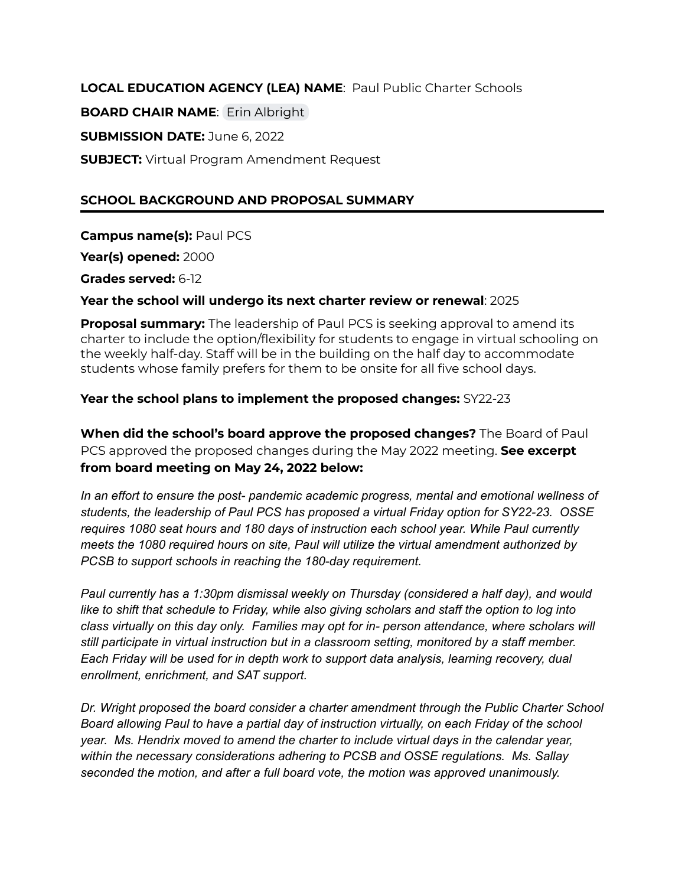**LOCAL EDUCATION AGENCY (LEA) NAME**: Paul Public Charter Schools **BOARD CHAIR NAME**: Erin [Albright](mailto:mcvadonalbright@gmail.com) **SUBMISSION DATE:** June 6, 2022 **SUBJECT:** Virtual Program Amendment Request

# **SCHOOL BACKGROUND AND PROPOSAL SUMMARY**

**Campus name(s):** Paul PCS

**Year(s) opened:** 2000

**Grades served:** 6-12

**Year the school will undergo its next charter review or renewal**: 2025

**Proposal summary:** The leadership of Paul PCS is seeking approval to amend its charter to include the option/flexibility for students to engage in virtual schooling on the weekly half-day. Staff will be in the building on the half day to accommodate students whose family prefers for them to be onsite for all five school days.

### **Year the school plans to implement the proposed changes:** SY22-23

**When did the school's board approve the proposed changes?** The Board of Paul PCS approved the proposed changes during the May 2022 meeting. **See excerpt from board meeting on May 24, 2022 below:**

*In an effort to ensure the post- pandemic academic progress, mental and emotional wellness of students, the leadership of Paul PCS has proposed a virtual Friday option for SY22-23. OSSE requires 1080 seat hours and 180 days of instruction each school year. While Paul currently meets the 1080 required hours on site, Paul will utilize the virtual amendment authorized by PCSB to support schools in reaching the 180-day requirement.*

*Paul currently has a 1:30pm dismissal weekly on Thursday (considered a half day), and would like to shift that schedule to Friday, while also giving scholars and staff the option to log into class virtually on this day only. Families may opt for in- person attendance, where scholars will still participate in virtual instruction but in a classroom setting, monitored by a staff member. Each Friday will be used for in depth work to support data analysis, learning recovery, dual enrollment, enrichment, and SAT support.*

*Dr. Wright proposed the board consider a charter amendment through the Public Charter School Board allowing Paul to have a partial day of instruction virtually, on each Friday of the school year. Ms. Hendrix moved to amend the charter to include virtual days in the calendar year, within the necessary considerations adhering to PCSB and OSSE regulations. Ms. Sallay seconded the motion, and after a full board vote, the motion was approved unanimously.*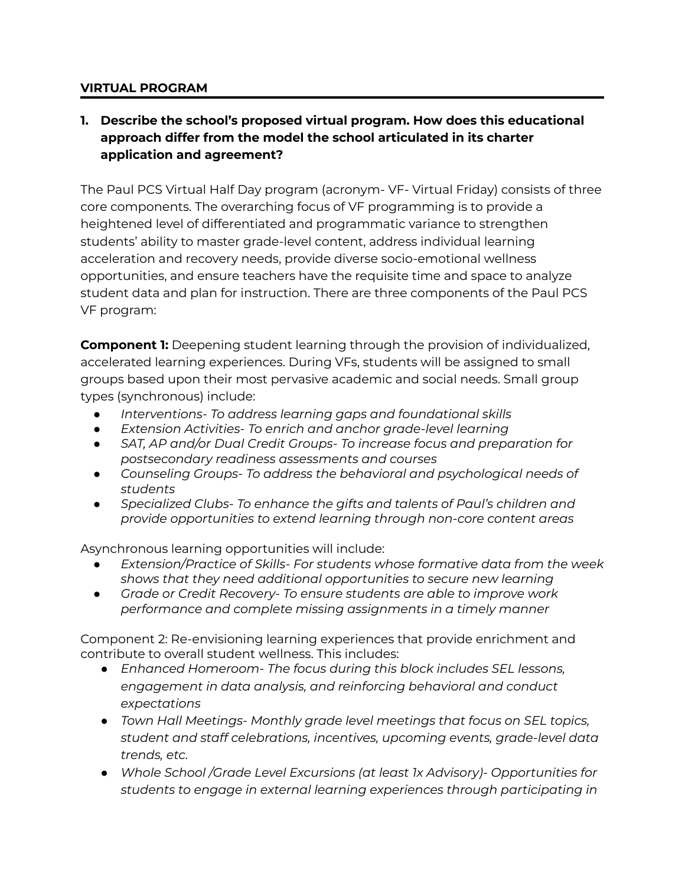### **VIRTUAL PROGRAM**

# **1. Describe the school's proposed virtual program. How does this educational approach differ from the model the school articulated in its charter application and agreement?**

The Paul PCS Virtual Half Day program (acronym- VF- Virtual Friday) consists of three core components. The overarching focus of VF programming is to provide a heightened level of differentiated and programmatic variance to strengthen students' ability to master grade-level content, address individual learning acceleration and recovery needs, provide diverse socio-emotional wellness opportunities, and ensure teachers have the requisite time and space to analyze student data and plan for instruction. There are three components of the Paul PCS VF program:

**Component 1:** Deepening student learning through the provision of individualized, accelerated learning experiences. During VFs, students will be assigned to small groups based upon their most pervasive academic and social needs. Small group types (synchronous) include:

- *● Interventions- To address learning gaps and foundational skills*
- *● Extension Activities- To enrich and anchor grade-level learning*
- *● SAT, AP and/or Dual Credit Groups- To increase focus and preparation for postsecondary readiness assessments and courses*
- *● Counseling Groups- To address the behavioral and psychological needs of students*
- *● Specialized Clubs- To enhance the gifts and talents of Paul's children and provide opportunities to extend learning through non-core content areas*

Asynchronous learning opportunities will include:

- *● Extension/Practice of Skills- For students whose formative data from the week shows that they need additional opportunities to secure new learning*
- *● Grade or Credit Recovery- To ensure students are able to improve work performance and complete missing assignments in a timely manner*

Component 2: Re-envisioning learning experiences that provide enrichment and contribute to overall student wellness. This includes:

- *● Enhanced Homeroom- The focus during this block includes SEL lessons, engagement in data analysis, and reinforcing behavioral and conduct expectations*
- *● Town Hall Meetings- Monthly grade level meetings that focus on SEL topics, student and staff celebrations, incentives, upcoming events, grade-level data trends, etc.*
- *● Whole School /Grade Level Excursions (at least 1x Advisory)- Opportunities for students to engage in external learning experiences through participating in*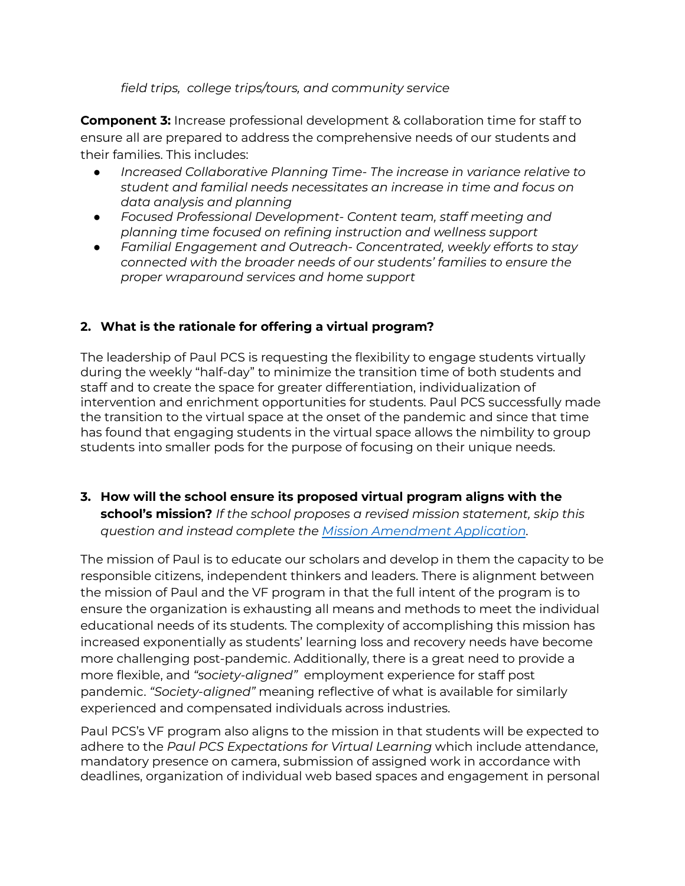*field trips, college trips/tours, and community service*

**Component 3:** Increase professional development & collaboration time for staff to ensure all are prepared to address the comprehensive needs of our students and their families. This includes:

- *● Increased Collaborative Planning Time- The increase in variance relative to student and familial needs necessitates an increase in time and focus on data analysis and planning*
- *● Focused Professional Development- Content team, staff meeting and planning time focused on refining instruction and wellness support*
- *● Familial Engagement and Outreach- Concentrated, weekly efforts to stay connected with the broader needs of our students' families to ensure the proper wraparound services and home support*

# **2. What is the rationale for offering a virtual program?**

The leadership of Paul PCS is requesting the flexibility to engage students virtually during the weekly "half-day" to minimize the transition time of both students and staff and to create the space for greater differentiation, individualization of intervention and enrichment opportunities for students. Paul PCS successfully made the transition to the virtual space at the onset of the pandemic and since that time has found that engaging students in the virtual space allows the nimbility to group students into smaller pods for the purpose of focusing on their unique needs.

**3. How will the school ensure its proposed virtual program aligns with the school's mission?** *If the school proposes a revised mission statement, skip this question and instead complete the Mission [Amendment](https://bit.ly/38wvaME) Application.*

The mission of Paul is to educate our scholars and develop in them the capacity to be responsible citizens, independent thinkers and leaders. There is alignment between the mission of Paul and the VF program in that the full intent of the program is to ensure the organization is exhausting all means and methods to meet the individual educational needs of its students. The complexity of accomplishing this mission has increased exponentially as students' learning loss and recovery needs have become more challenging post-pandemic. Additionally, there is a great need to provide a more flexible, and *"society-aligned"* employment experience for staff post pandemic. *"Society-aligned"* meaning reflective of what is available for similarly experienced and compensated individuals across industries.

Paul PCS's VF program also aligns to the mission in that students will be expected to adhere to the *Paul PCS Expectations for Virtual Learning* which include attendance, mandatory presence on camera, submission of assigned work in accordance with deadlines, organization of individual web based spaces and engagement in personal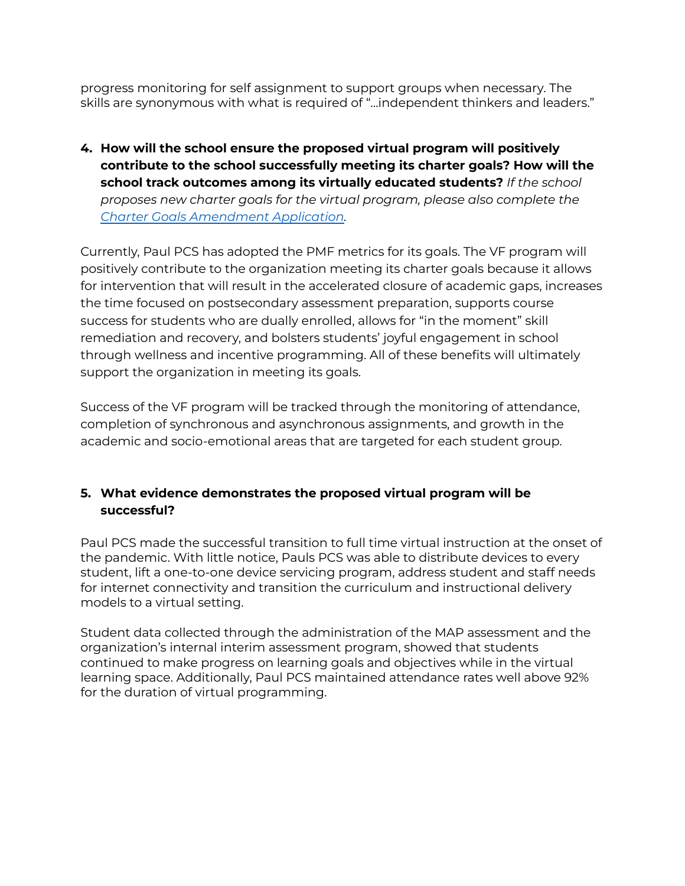progress monitoring for self assignment to support groups when necessary. The skills are synonymous with what is required of "...independent thinkers and leaders."

**4. How will the school ensure the proposed virtual program will positively contribute to the school successfully meeting its charter goals? How will the school track outcomes among its virtually educated students?** *If the school proposes new charter goals for the virtual program, please also complete the Charter Goals [Amendment](https://bit.ly/37RAFoS) Application.*

Currently, Paul PCS has adopted the PMF metrics for its goals. The VF program will positively contribute to the organization meeting its charter goals because it allows for intervention that will result in the accelerated closure of academic gaps, increases the time focused on postsecondary assessment preparation, supports course success for students who are dually enrolled, allows for "in the moment" skill remediation and recovery, and bolsters students' joyful engagement in school through wellness and incentive programming. All of these benefits will ultimately support the organization in meeting its goals.

Success of the VF program will be tracked through the monitoring of attendance, completion of synchronous and asynchronous assignments, and growth in the academic and socio-emotional areas that are targeted for each student group.

# **5. What evidence demonstrates the proposed virtual program will be successful?**

Paul PCS made the successful transition to full time virtual instruction at the onset of the pandemic. With little notice, Pauls PCS was able to distribute devices to every student, lift a one-to-one device servicing program, address student and staff needs for internet connectivity and transition the curriculum and instructional delivery models to a virtual setting.

Student data collected through the administration of the MAP assessment and the organization's internal interim assessment program, showed that students continued to make progress on learning goals and objectives while in the virtual learning space. Additionally, Paul PCS maintained attendance rates well above 92% for the duration of virtual programming.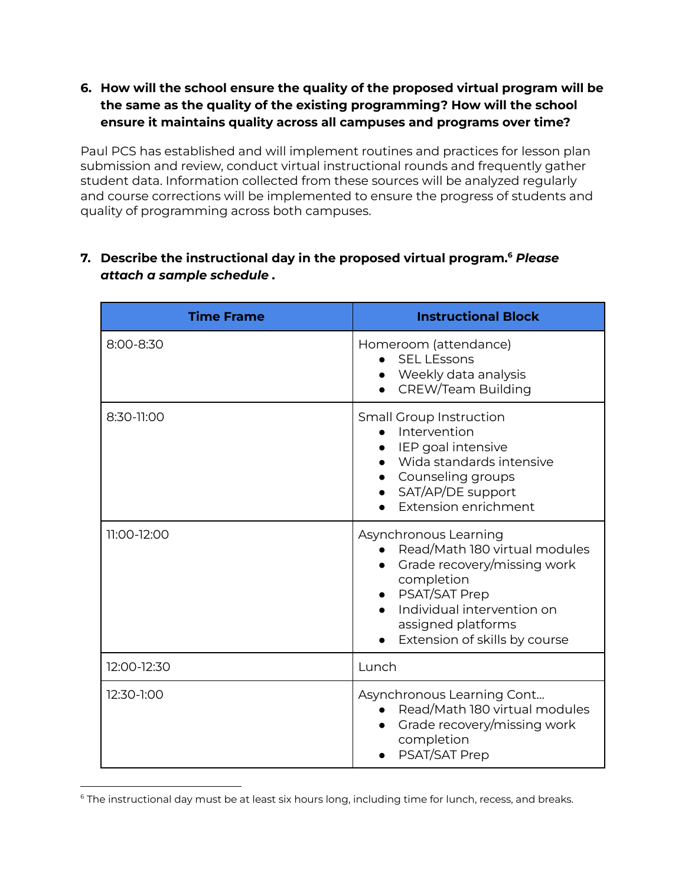**6. How will the school ensure the quality of the proposed virtual program will be the same as the quality of the existing programming? How will the school ensure it maintains quality across all campuses and programs over time?**

Paul PCS has established and will implement routines and practices for lesson plan submission and review, conduct virtual instructional rounds and frequently gather student data. Information collected from these sources will be analyzed regularly and course corrections will be implemented to ensure the progress of students and quality of programming across both campuses.

# **7. Describe the instructional day in the proposed virtual program. <sup>6</sup>** *Please attach a sample schedule .*

| <b>Time Frame</b> | <b>Instructional Block</b>                                                                                                                                                                                       |
|-------------------|------------------------------------------------------------------------------------------------------------------------------------------------------------------------------------------------------------------|
| 8:00-8:30         | Homeroom (attendance)<br><b>SEL LEssons</b><br>Weekly data analysis<br><b>CREW/Team Building</b>                                                                                                                 |
| 8:30-11:00        | <b>Small Group Instruction</b><br>Intervention<br>IEP goal intensive<br>Wida standards intensive<br>Counseling groups<br>SAT/AP/DE support<br><b>Extension enrichment</b>                                        |
| 11:00-12:00       | Asynchronous Learning<br>Read/Math 180 virtual modules<br>Grade recovery/missing work<br>completion<br><b>PSAT/SAT Prep</b><br>Individual intervention on<br>assigned platforms<br>Extension of skills by course |
| 12:00-12:30       | Lunch                                                                                                                                                                                                            |
| 12:30-1:00        | Asynchronous Learning Cont<br>Read/Math 180 virtual modules<br>Grade recovery/missing work<br>completion<br>PSAT/SAT Prep                                                                                        |

<sup>&</sup>lt;sup>6</sup> The instructional day must be at least six hours long, including time for lunch, recess, and breaks.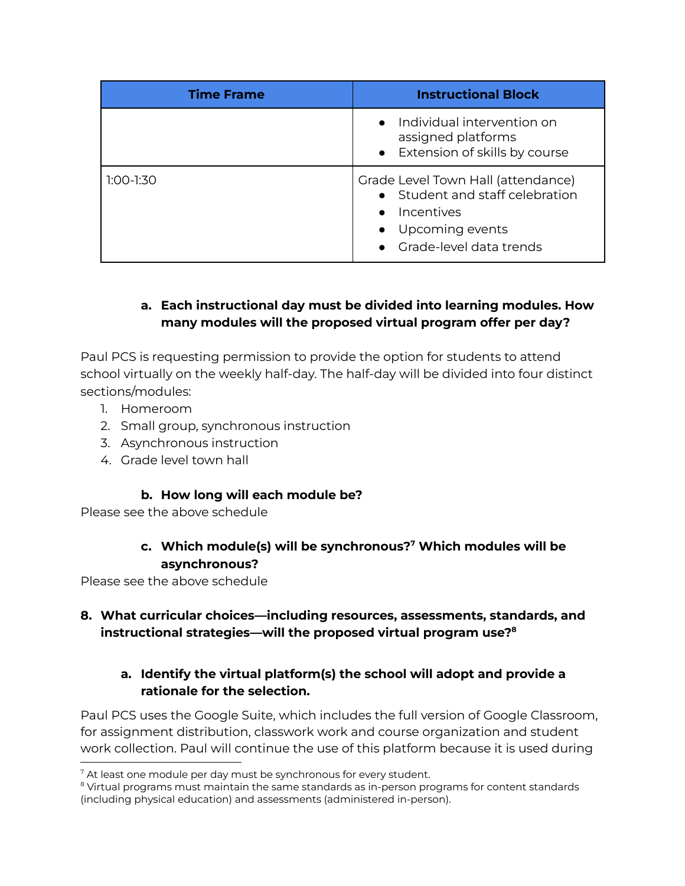| <b>Time Frame</b> | <b>Instructional Block</b>                                                                                                                         |
|-------------------|----------------------------------------------------------------------------------------------------------------------------------------------------|
|                   | • Individual intervention on<br>assigned platforms<br>• Extension of skills by course                                                              |
| $1:00-1:30$       | Grade Level Town Hall (attendance)<br>• Student and staff celebration<br>Incentives<br>$\bullet$<br>• Upcoming events<br>• Grade-level data trends |

# **a. Each instructional day must be divided into learning modules. How many modules will the proposed virtual program offer per day?**

Paul PCS is requesting permission to provide the option for students to attend school virtually on the weekly half-day. The half-day will be divided into four distinct sections/modules:

- 1. Homeroom
- 2. Small group, synchronous instruction
- 3. Asynchronous instruction
- 4. Grade level town hall

# **b. How long will each module be?**

Please see the above schedule

# **c. Which module(s) will be synchronous? <sup>7</sup> Which modules will be asynchronous?**

Please see the above schedule

# **8. What curricular choices—including resources, assessments, standards, and instructional strategies—will the proposed virtual program use? 8**

# **a. Identify the virtual platform(s) the school will adopt and provide a rationale for the selection.**

Paul PCS uses the Google Suite, which includes the full version of Google Classroom, for assignment distribution, classwork work and course organization and student work collection. Paul will continue the use of this platform because it is used during

 $7$  At least one module per day must be synchronous for every student.

<sup>&</sup>lt;sup>8</sup> Virtual programs must maintain the same standards as in-person programs for content standards (including physical education) and assessments (administered in-person).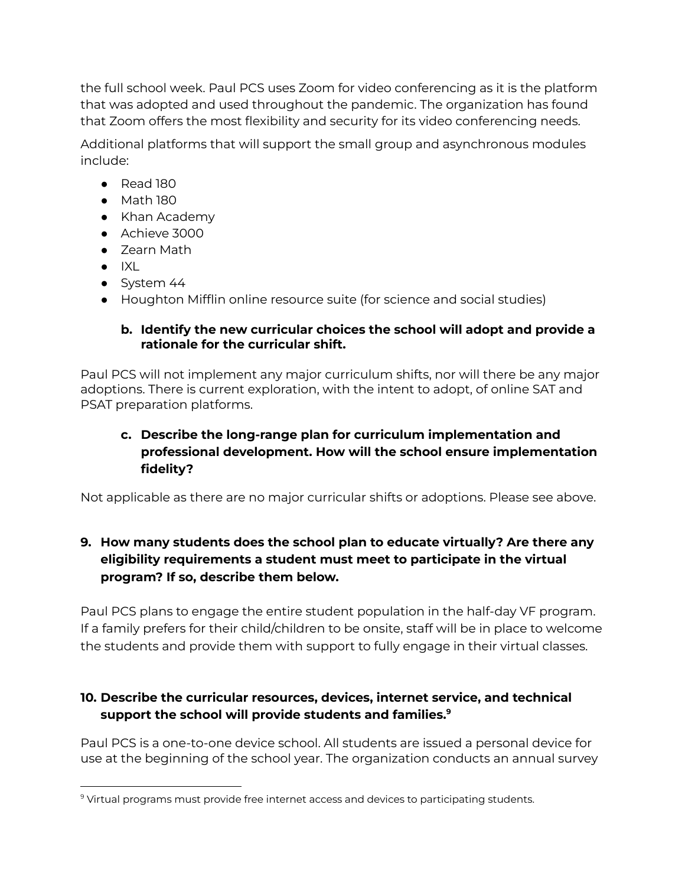the full school week. Paul PCS uses Zoom for video conferencing as it is the platform that was adopted and used throughout the pandemic. The organization has found that Zoom offers the most flexibility and security for its video conferencing needs.

Additional platforms that will support the small group and asynchronous modules include:

- Read 180
- Math 180
- Khan Academy
- Achieve 3000
- Zearn Math
- $\bullet$  IXL
- System 44
- Houghton Mifflin online resource suite (for science and social studies)

# **b. Identify the new curricular choices the school will adopt and provide a rationale for the curricular shift.**

Paul PCS will not implement any major curriculum shifts, nor will there be any major adoptions. There is current exploration, with the intent to adopt, of online SAT and PSAT preparation platforms.

# **c. Describe the long-range plan for curriculum implementation and professional development. How will the school ensure implementation fidelity?**

Not applicable as there are no major curricular shifts or adoptions. Please see above.

# **9. How many students does the school plan to educate virtually? Are there any eligibility requirements a student must meet to participate in the virtual program? If so, describe them below.**

Paul PCS plans to engage the entire student population in the half-day VF program. If a family prefers for their child/children to be onsite, staff will be in place to welcome the students and provide them with support to fully engage in their virtual classes.

# **10. Describe the curricular resources, devices, internet service, and technical support the school will provide students and families. 9**

Paul PCS is a one-to-one device school. All students are issued a personal device for use at the beginning of the school year. The organization conducts an annual survey

<sup>9</sup> Virtual programs must provide free internet access and devices to participating students.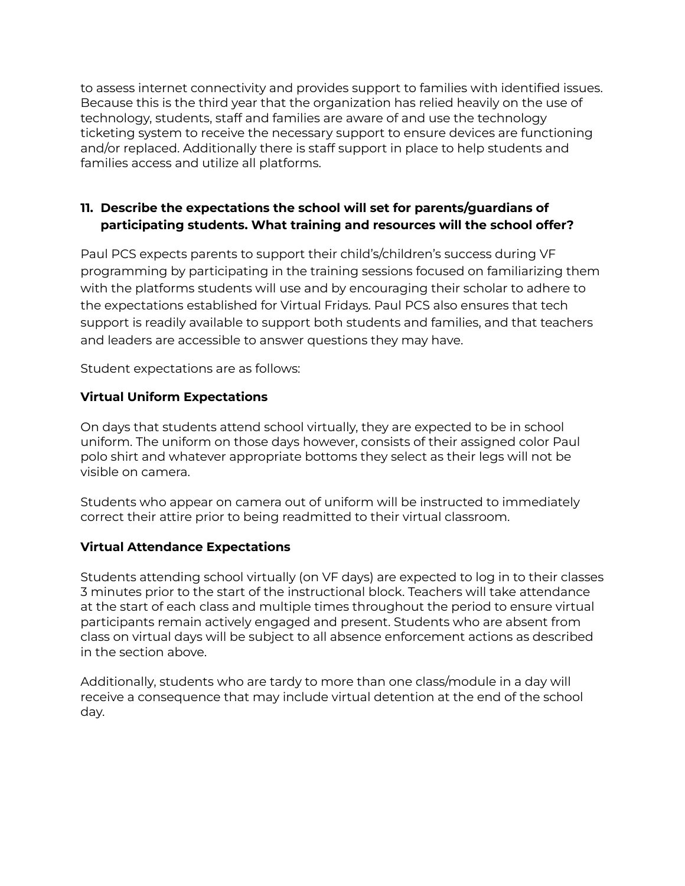to assess internet connectivity and provides support to families with identified issues. Because this is the third year that the organization has relied heavily on the use of technology, students, staff and families are aware of and use the technology ticketing system to receive the necessary support to ensure devices are functioning and/or replaced. Additionally there is staff support in place to help students and families access and utilize all platforms.

# **11. Describe the expectations the school will set for parents/guardians of participating students. What training and resources will the school offer?**

Paul PCS expects parents to support their child's/children's success during VF programming by participating in the training sessions focused on familiarizing them with the platforms students will use and by encouraging their scholar to adhere to the expectations established for Virtual Fridays. Paul PCS also ensures that tech support is readily available to support both students and families, and that teachers and leaders are accessible to answer questions they may have.

Student expectations are as follows:

# **Virtual Uniform Expectations**

On days that students attend school virtually, they are expected to be in school uniform. The uniform on those days however, consists of their assigned color Paul polo shirt and whatever appropriate bottoms they select as their legs will not be visible on camera.

Students who appear on camera out of uniform will be instructed to immediately correct their attire prior to being readmitted to their virtual classroom.

### **Virtual Attendance Expectations**

Students attending school virtually (on VF days) are expected to log in to their classes 3 minutes prior to the start of the instructional block. Teachers will take attendance at the start of each class and multiple times throughout the period to ensure virtual participants remain actively engaged and present. Students who are absent from class on virtual days will be subject to all absence enforcement actions as described in the section above.

Additionally, students who are tardy to more than one class/module in a day will receive a consequence that may include virtual detention at the end of the school day.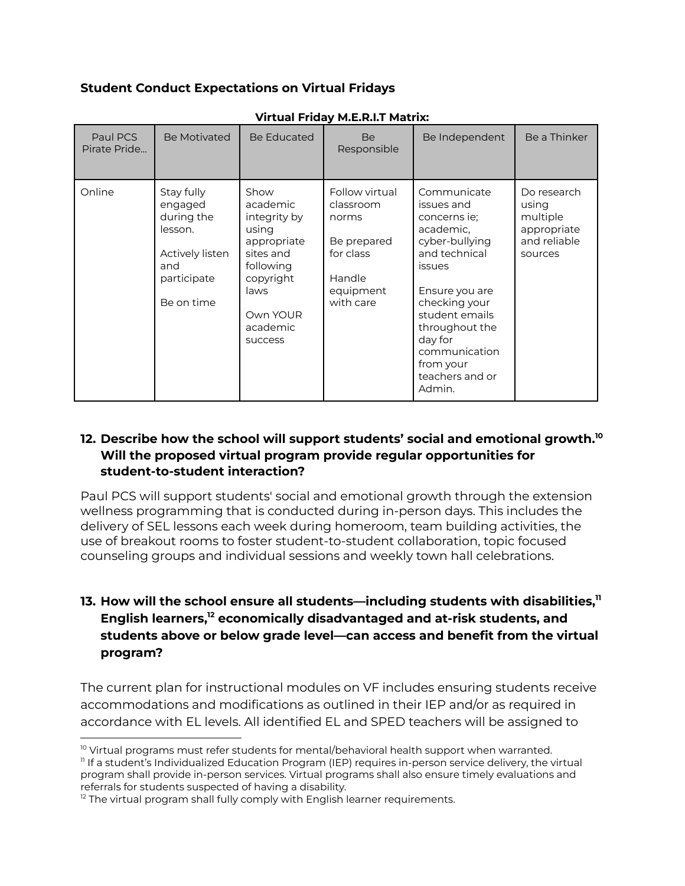### **Student Conduct Expectations on Virtual Fridays**

| Paul PCS<br>Pirate Pride | Be Motivated                                                                                          | Be Educated                                                                                                                                       | <b>Be</b><br>Responsible                                                                             | Be Independent                                                                                                                                                                                                                                   | Be a Thinker                                                               |
|--------------------------|-------------------------------------------------------------------------------------------------------|---------------------------------------------------------------------------------------------------------------------------------------------------|------------------------------------------------------------------------------------------------------|--------------------------------------------------------------------------------------------------------------------------------------------------------------------------------------------------------------------------------------------------|----------------------------------------------------------------------------|
| Online                   | Stay fully<br>engaged<br>during the<br>lesson.<br>Actively listen<br>and<br>participate<br>Be on time | Show<br>academic<br>integrity by<br>using<br>appropriate<br>sites and<br>following<br>copyright<br>laws<br>Own YOUR<br>academic<br><b>SUCCESS</b> | Follow virtual<br>classroom<br>norms<br>Be prepared<br>for class<br>Handle<br>equipment<br>with care | Communicate<br>issues and<br>concerns ie;<br>academic,<br>cyber-bullying<br>and technical<br>issues<br>Ensure you are<br>checking your<br>student emails<br>throughout the<br>day for<br>communication<br>from your<br>teachers and or<br>Admin. | Do research<br>using<br>multiple<br>appropriate<br>and reliable<br>sources |

#### **Virtual Friday M.E.R.I.T Matrix:**

### **12. Describe how the school will support students' social and emotional growth. 10 Will the proposed virtual program provide regular opportunities for student-to-student interaction?**

Paul PCS will support students' social and emotional growth through the extension wellness programming that is conducted during in-person days. This includes the delivery of SEL lessons each week during homeroom, team building activities, the use of breakout rooms to foster student-to-student collaboration, topic focused counseling groups and individual sessions and weekly town hall celebrations.

# **13. How will the school ensure all students—including students with disabilities, 11 English learners, <sup>12</sup> economically disadvantaged and at-risk students, and students above or below grade level—can access and benefit from the virtual program?**

The current plan for instructional modules on VF includes ensuring students receive accommodations and modifications as outlined in their IEP and/or as required in accordance with EL levels. All identified EL and SPED teachers will be assigned to

11 If a student's Individualized Education Program (IEP) requires in-person service delivery, the virtual program shall provide in-person services. Virtual programs shall also ensure timely evaluations and referrals for students suspected of having a disability.

 $10$  Virtual programs must refer students for mental/behavioral health support when warranted.

 $12$  The virtual program shall fully comply with English learner requirements.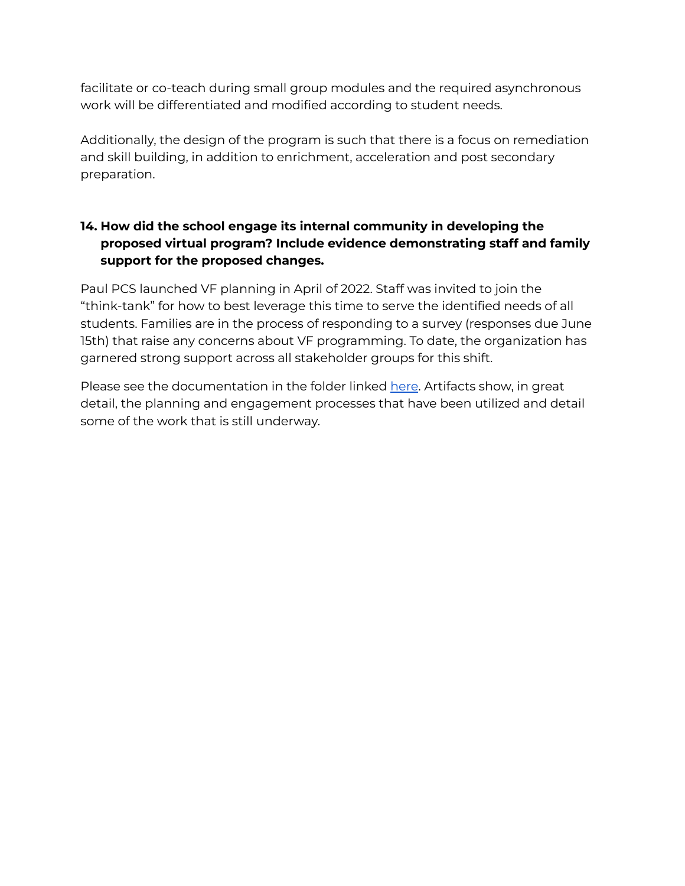facilitate or co-teach during small group modules and the required asynchronous work will be differentiated and modified according to student needs.

Additionally, the design of the program is such that there is a focus on remediation and skill building, in addition to enrichment, acceleration and post secondary preparation.

# **14. How did the school engage its internal community in developing the proposed virtual program? Include evidence demonstrating staff and family support for the proposed changes.**

Paul PCS launched VF planning in April of 2022. Staff was invited to join the "think-tank" for how to best leverage this time to serve the identified needs of all students. Families are in the process of responding to a survey (responses due June 15th) that raise any concerns about VF programming. To date, the organization has garnered strong support across all stakeholder groups for this shift.

Please see the documentation in the folder linked [here](https://drive.google.com/drive/folders/1lhG8N7fYMXrxHqNwhfqRpWXh3ubob1u7?usp=sharing). Artifacts show, in great detail, the planning and engagement processes that have been utilized and detail some of the work that is still underway.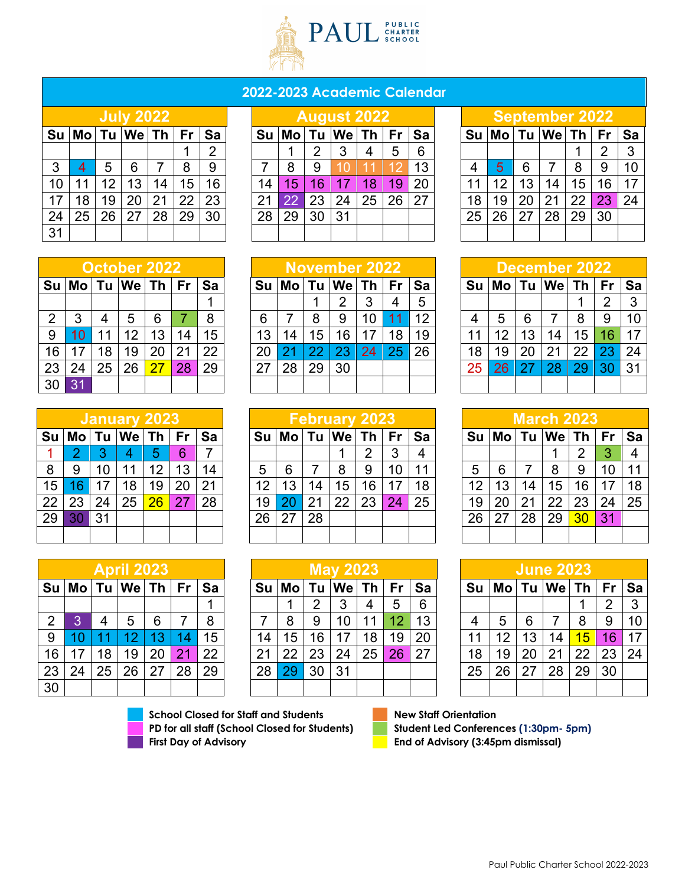

## **2022-2023 Academic Calendar**

|    |    |    | <b>July 2022</b> |    |    |    |
|----|----|----|------------------|----|----|----|
| Su |    |    | Mo Tu We Th      |    | Fr | Sa |
|    |    |    |                  |    |    | 2  |
| 3  | 4  | 5  | 6                | 7  | 8  | 9  |
| 10 | 11 | 12 | 13               | 14 | 15 | 16 |
| 17 | 18 | 19 | 20               | 21 | 22 | 23 |
| 24 | 25 | 26 | 27               | 28 | 29 | 30 |
| 31 |    |    |                  |    |    |    |

|    |                 |    | <b>July 2022</b> |    |    |    |      |    |    | August 20 <u>22</u> |    |           |    |    |    |    | <b>September 2022</b> |    |    |    |
|----|-----------------|----|------------------|----|----|----|------|----|----|---------------------|----|-----------|----|----|----|----|-----------------------|----|----|----|
|    | Su  Mo   Tu  We |    |                  | Th | Fr | Sa | Su l | Mo | Tu | ∣We l               | Th | <b>Fr</b> | Sa |    |    |    | $Su$ $Mo$ $Tu$ $We$   | Th | Fr | Sa |
|    |                 |    |                  |    |    | າ  |      |    | റ  |                     | 4  | 5         | 6  |    |    |    |                       |    | 2  | 3  |
| 3  |                 | h. | 6                |    |    | 9  |      | 8  | 9  |                     |    |           | 13 |    | h. | 6  |                       |    | 9  | 10 |
| 10 |                 |    | 13               | 14 | 15 | 16 | 14   | 5  | 6  |                     | 18 | 19        | 20 |    | 10 |    | 14                    | 15 | 16 | 17 |
| 17 | 18              | 19 | 20               | 21 |    | 23 |      |    |    | 24                  | 25 | 26        | 27 | 18 | 19 | 20 |                       | 22 | 23 | 24 |
| 24 | 25              | 26 | 27               | 28 | 29 | 30 | 28   | 29 | 30 | 31                  |    |           |    | 25 | 26 | 27 | 28                    | 29 | 30 |    |
| 31 |                 |    |                  |    |    |    |      |    |    |                     |    |           |    |    |    |    |                       |    |    |    |

|                                 |                 |    | <b>September 2022</b> |    |    |    |  |  |  |  |  |  |  |  |
|---------------------------------|-----------------|----|-----------------------|----|----|----|--|--|--|--|--|--|--|--|
| Mo Tu We Th<br>Su<br>Sa<br>l Fr |                 |    |                       |    |    |    |  |  |  |  |  |  |  |  |
|                                 |                 |    |                       | 2  | 3  |    |  |  |  |  |  |  |  |  |
| $\overline{4}$                  | 5               | 6  | 7                     | 8  | 9  | 10 |  |  |  |  |  |  |  |  |
| 11                              | 12 <sup>2</sup> | 13 | 14                    | 15 | 16 | 17 |  |  |  |  |  |  |  |  |
| 18                              | 19              | 20 | 21                    | 22 | 23 | 24 |  |  |  |  |  |  |  |  |
| 25                              | 26              | 27 | 28                    | 29 | 30 |    |  |  |  |  |  |  |  |  |
|                                 |                 |    |                       |    |    |    |  |  |  |  |  |  |  |  |

|      |    |    | October 2022 |      |           |    |    |    |                 | November 2022   |          |    |    |    |    | December 2022      |    |        |                |
|------|----|----|--------------|------|-----------|----|----|----|-----------------|-----------------|----------|----|----|----|----|--------------------|----|--------|----------------|
| Su l |    |    | ˈMo∣Tu ∣We ∣ | Th I | <b>Fr</b> | Sa |    |    | Tu              | $ \mathsf{We} $ | 'Th ∣ Fr | Sa |    |    |    | $Tu$ $We$ $Th$ $I$ |    | Fr ∣Sa |                |
|      |    |    |              |      |           |    |    |    |                 |                 | 3        | 5  |    |    |    |                    |    |        |                |
| 2    |    |    | 5            | 6    |           | 8  |    |    | 8               |                 | 10       | 12 |    | 5  | 6  |                    | 8  | 9      |                |
| 9    |    |    | 12           | 13   |           | 15 | 13 | 14 | 15 <sub>1</sub> | 16              |          | 19 |    |    | 13 |                    | 15 |        |                |
| 16   |    | 18 | 19           |      | 21        | 22 |    |    |                 |                 | 24       | 26 | 18 | 19 | 20 |                    | 22 |        |                |
| 23   | 24 | 25 | 26           | 27   | 28        | 29 |    | 28 | 29              | 30              |          |    | 25 | 26 |    |                    |    |        | 3 <sup>1</sup> |
| 30   |    |    |              |      |           |    |    |    |                 |                 |          |    |    |    |    |                    |    |        |                |

|    |    |    | <b>March 2023</b> |    |           |    |
|----|----|----|-------------------|----|-----------|----|
| Su |    |    | $Mo$ Tu $We$ Th   |    | <b>Fr</b> | Sa |
|    |    |    |                   | 2  | 3         | 4  |
| 5  | 6  | 7  | 8                 | 9  | 10        | 11 |
| 12 | 13 | 14 | 15                | 16 | 17        | 18 |
| 19 | 20 | 21 | 22                | 23 | 24        | 25 |
| 26 | 27 | 28 | 29                | 30 | 31        |    |
|    |    |    |                   |    |           |    |

|    |                               |    | <b>June 2023</b> |    |    |    |  |  |  |  |  |  |  |  |  |
|----|-------------------------------|----|------------------|----|----|----|--|--|--|--|--|--|--|--|--|
| Su | Mo   Tu   We   Th<br>Fr<br>Sa |    |                  |    |    |    |  |  |  |  |  |  |  |  |  |
|    |                               |    |                  |    | 2  | 3  |  |  |  |  |  |  |  |  |  |
| 4  | 5                             | 6  |                  | 8  | 9  | 10 |  |  |  |  |  |  |  |  |  |
| 11 | 12                            | 13 | 14               | 15 | 16 | 17 |  |  |  |  |  |  |  |  |  |
| 18 | 19                            | 20 | 21               | 22 | 23 | 24 |  |  |  |  |  |  |  |  |  |
| 25 | 26                            | 27 | 28               | 29 | 30 |    |  |  |  |  |  |  |  |  |  |
|    |                               |    |                  |    |    |    |  |  |  |  |  |  |  |  |  |

| 1 I | 25 <sub>1</sub> | 26                  | 27 | 28 | 29        | 27 | 28             | 29 | 30                   |      |    |    | 25  | 26 |                        |            |  |
|-----|-----------------|---------------------|----|----|-----------|----|----------------|----|----------------------|------|----|----|-----|----|------------------------|------------|--|
|     |                 |                     |    |    |           |    |                |    |                      |      |    |    |     |    |                        |            |  |
|     |                 |                     |    |    |           |    |                |    |                      |      |    |    |     |    |                        |            |  |
|     |                 | <b>January 2023</b> |    |    |           |    |                |    | <b>February 2023</b> |      |    |    |     |    |                        | March 2023 |  |
|     | Tu.             | <b>We</b>           | Th | Fr | <b>Sa</b> | Su | M <sub>O</sub> |    | Tu  We               | Th L | Fr | Sa |     |    | Su   Mo   Tu   We   Th |            |  |
|     |                 |                     | 5  | 6  |           |    |                |    |                      |      |    | 4  |     |    |                        |            |  |
|     | 10              |                     | 12 | 13 | 14        | 5  | 6              |    | 8                    | 9    |    | 11 |     |    | 8                      | 9          |  |
|     |                 | 18                  | 19 | 20 | 21        | 12 | 13             | 14 | 15                   | 16   |    | 18 | 1 ິ |    |                        |            |  |
|     |                 |                     |    |    |           |    |                |    |                      |      |    |    |     |    |                        |            |  |

|    |    |    |           | January 2023 |    |    |      |    |    | -ebruary 2023 |    |                 |    |    |           |    |                                |    |    |     |
|----|----|----|-----------|--------------|----|----|------|----|----|---------------|----|-----------------|----|----|-----------|----|--------------------------------|----|----|-----|
| Su | Mo |    | <b>We</b> | Th           | Fr | Sa | Su l | Mo | Tu | We            | Τh | Fr              | Sa |    | $Su$ $Mo$ | Tu | $ \mathsf{We} \mathsf{Th} $ Fr |    |    | ∣Sa |
|    |    |    | 4         | 5            | 6  |    |      |    |    |               | っ  | 3               |    |    |           |    |                                | n  |    | 4   |
| 8  | 9  |    | 11        | 12           | 13 | 14 | 5    | 6  |    | 8             | 9  | 10 <sup>°</sup> |    | 5  | h         |    | 8                              | 9  | 10 | 11  |
| 15 |    |    | 18        | 19           | 20 | 21 | 12   | 13 | 14 | 15            | 16 | 17              | 18 | 12 | 13        | 14 | 15 <sup>1</sup>                | 16 | 17 | 18  |
| 22 | 23 | 24 | 25        | 26           | 27 | 28 | 19   |    | 21 | 22            | 23 | 24              | 25 | 19 |           | 21 | 22                             | 23 | 24 | 25  |
| 29 | 30 |    |           |              |    |    | 26   | 27 | 28 |               |    |                 |    | 26 |           | 28 | 29                             | 30 | 31 |     |
|    |    |    |           |              |    |    |      |    |    |               |    |                 |    |    |           |    |                                |    |    |     |
|    |    |    |           |              |    |    |      |    |    |               |    |                 |    |    |           |    |                                |    |    |     |

|      |    |    | April 2023 |    |           |    |    |    |    | <b>May 2023</b> |    |    |    |    |    |    | <b>June 2023</b> |                 |    |           |
|------|----|----|------------|----|-----------|----|----|----|----|-----------------|----|----|----|----|----|----|------------------|-----------------|----|-----------|
| Su l |    |    | ∣We⊺Th I   |    | <b>Fr</b> | Sa |    | Mo | Tu | Wel             |    |    | Sa | Su | Mo | Tu |                  | $We$ Th         | Fr | <b>Sa</b> |
|      |    |    |            |    |           |    |    |    | ົ  |                 | 4  | 5  | 6  |    |    |    |                  |                 | ⌒  | 3         |
| 2    |    |    | 5          | 6  |           | 8  |    |    | 9  |                 |    | 12 | 13 |    | h. | 6  |                  |                 | 9  | 10        |
| 9    |    |    |            | 13 |           | 15 | 14 | 15 | 16 |                 | 18 | 19 | 20 | 11 | 12 | 13 | 14               | 15 <sub>1</sub> | 16 | 17        |
| 16   | 17 | 18 | 19         | 20 |           | 22 |    | 22 | 23 | 24              | 25 | 26 | 27 | 18 | 19 | 20 | 21               | つつ              | 23 | 24        |
| 23   | 24 | 25 | 26         | 27 | 28        | 29 | 28 | 29 | 30 | 31              |    |    |    | 25 | 26 | 27 | 28               | 29              | 30 |           |
| 30   |    |    |            |    |           |    |    |    |    |                 |    |    |    |    |    |    |                  |                 |    |           |

|                 | Su  Mo   Tu  We   Th   Fr   Sa |                 |    |    |    |    |                 | Su   Mo   Tu   We   Th   Fr   Sa |    |                 |    |    |    |    | Su  Mo   Tu  We   Th   Fr   Sa |    |    |                 |                 |    |
|-----------------|--------------------------------|-----------------|----|----|----|----|-----------------|----------------------------------|----|-----------------|----|----|----|----|--------------------------------|----|----|-----------------|-----------------|----|
|                 |                                |                 |    |    |    |    |                 |                                  | 2  |                 | 4  | 5  | 6  |    |                                |    |    |                 | າ               | 3  |
| $\overline{2}$  |                                |                 | 5  | 6  |    | 8  |                 | 8                                | 9  | 10              | 11 | 12 | 13 |    | 5                              | 6  |    | 8               | 9               | 10 |
| 9               |                                |                 |    | 13 | 14 | 15 | 14 <sub>1</sub> | 15                               | 16 | 17              | 18 | 19 | 20 | 11 | 12 <sup>2</sup>                | 13 | 14 | 15 <sub>1</sub> | 16 <sup>°</sup> | 17 |
| 16 <sup>1</sup> | 17                             | 18              | 19 | 20 |    | 22 | 21              | 22                               | 23 | 24 <sub>1</sub> | 25 | 26 | 27 | 18 | 19                             | 20 | 21 | 22 <sub>1</sub> | $23 \mid$       | 24 |
| 23 <sup>1</sup> | 24                             | 25 <sub>1</sub> | 26 | 27 | 28 | 29 | 28 <sub>1</sub> | 29                               | 30 | 31              |    |    |    | 25 | 26                             | 27 | 28 | 29              | 30              |    |
| 30              |                                |                 |    |    |    |    |                 |                                  |    |                 |    |    |    |    |                                |    |    |                 |                 |    |

**School Closed for Staff and Students New Staff Orientation PD for all staff (School Closed for Students) Student Led Conferences (1:30pm- 5pm) First Day of Advisory End of Advisory (3:45pm dismissal)**



# **Su Mo Tu We Th Fr Sa Su Mo Tu We Th Fr Sa Su Mo Tu We Th Fr Sa**

| Paul Public Charter School 2022-2023 |
|--------------------------------------|

| $\overline{2}$ | 3  | 4  | 5  | 6  |    | 8  |  |  |  |
|----------------|----|----|----|----|----|----|--|--|--|
| 9              | 10 | 11 | 12 | 13 | 14 | 15 |  |  |  |
| 16             | 17 | 18 | 19 | 20 | 21 | 22 |  |  |  |
| 23             | 24 | 25 | 26 | 27 | 28 | 29 |  |  |  |
| 30             | 31 |    |    |    |    |    |  |  |  |
|                |    |    |    |    |    |    |  |  |  |
|                |    |    |    |    |    |    |  |  |  |

| January 2023 |    |              |             |                         |           |    |  |  |  |  |  |
|--------------|----|--------------|-------------|-------------------------|-----------|----|--|--|--|--|--|
| Su           |    |              | Mo Tu We Th |                         | <b>Fr</b> | Sa |  |  |  |  |  |
|              | 2  | $\mathbf{3}$ | 4           | $\overline{\mathbf{5}}$ | 6         |    |  |  |  |  |  |
| 8            | 9  | 10           | 11          | 12                      | 13        | 14 |  |  |  |  |  |
| 15           | 16 | 17           | 18          | 19                      | 20        | 21 |  |  |  |  |  |
| 22           | 23 | 24           | 25          | 26                      | 27        | 28 |  |  |  |  |  |
| 29           | 30 | 31           |             |                         |           |    |  |  |  |  |  |
|              |    |              |             |                         |           |    |  |  |  |  |  |

|                | <b>April 2023</b> |    |             |    |                 |    |  |  |  |  |  |  |
|----------------|-------------------|----|-------------|----|-----------------|----|--|--|--|--|--|--|
| Su             |                   |    | Mo Tu We Th |    | <b>Fr</b>       | Sa |  |  |  |  |  |  |
|                |                   |    |             |    |                 |    |  |  |  |  |  |  |
| $\overline{2}$ | 3                 | 4  | 5           | 6  | $\overline{7}$  | 8  |  |  |  |  |  |  |
| 9              | 10                | 11 | 12          | 13 | 14              | 15 |  |  |  |  |  |  |
| 16             | 17                | 18 | 19          | 20 | $\overline{2}1$ | 22 |  |  |  |  |  |  |
| 23             | 24                | 25 | 26          | 27 | 28              | 29 |  |  |  |  |  |  |
| 30             |                   |    |             |    |                 |    |  |  |  |  |  |  |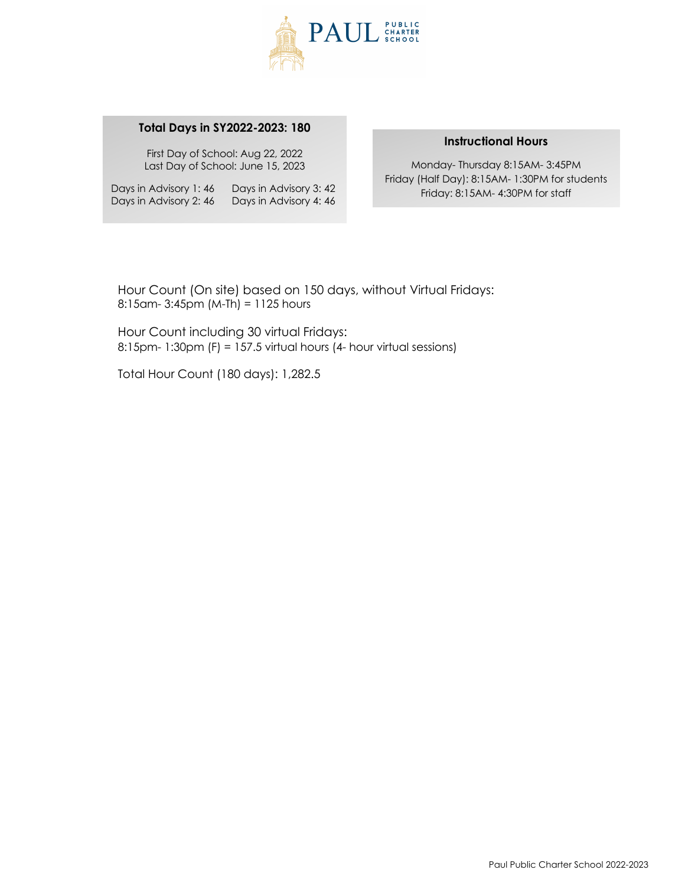

#### **Total Days in SY2022-2023: 180**

First Day of School: Aug 22, 2022 Last Day of School: June 15, 2023

Days in Advisory 1: 46 Days in Advisory 3: 42 Days in Advisory 2: 46 Days in Advisory 4: 46

#### **Instructional Hours**

Monday- Thursday 8:15AM- 3:45PM Friday (Half Day): 8:15AM- 1:30PM for students Friday: 8:15AM- 4:30PM for staff

Hour Count (On site) based on 150 days, without Virtual Fridays: 8:15am- 3:45pm (M-Th) = 1125 hours

Hour Count including 30 virtual Fridays: 8:15pm- 1:30pm (F) = 157.5 virtual hours (4- hour virtual sessions)

Total Hour Count (180 days): 1,282.5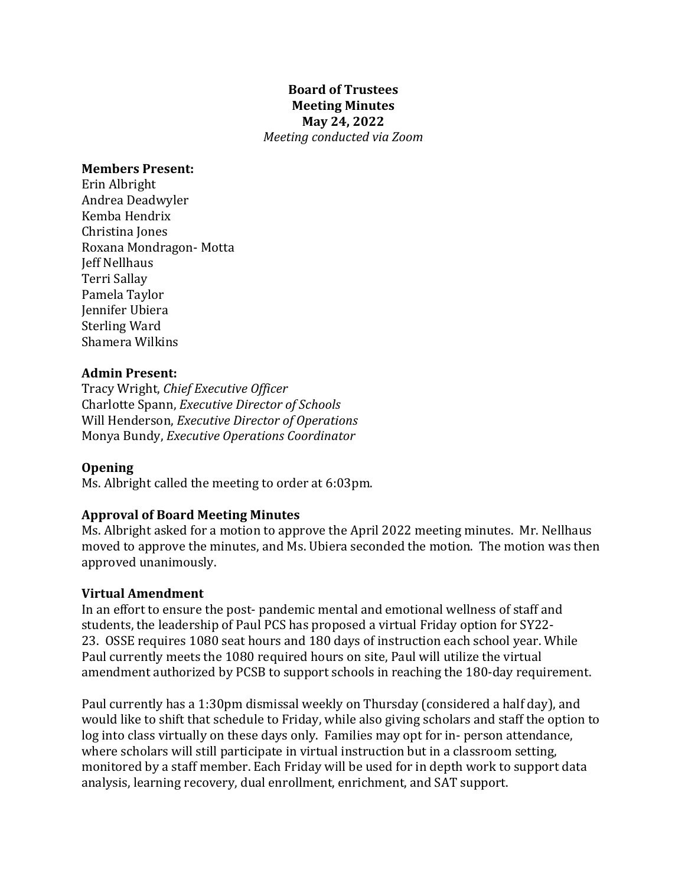#### **Board of Trustees Meeting Minutes May 24, 2022** *Meeting conducted via Zoom*

#### **Members Present:**

Erin Albright Andrea Deadwyler Kemba Hendrix Christina Iones Roxana Mondragon- Motta Jeff Nellhaus Terri Sallay Pamela Taylor Jennifer Ubiera Sterling Ward Shamera Wilkins

#### **Admin Present:**

Tracy Wright, *Chief Executive Officer* Charlotte Spann, *Executive Director of Schools* Will Henderson, *Executive Director of Operations* Monya Bundy, *Executive Operations Coordinator*

#### **Opening**

Ms. Albright called the meeting to order at 6:03pm.

#### **Approval of Board Meeting Minutes**

Ms. Albright asked for a motion to approve the April 2022 meeting minutes. Mr. Nellhaus moved to approve the minutes, and Ms. Ubiera seconded the motion. The motion was then approved unanimously.

#### **Virtual Amendment**

In an effort to ensure the post- pandemic mental and emotional wellness of staff and students, the leadership of Paul PCS has proposed a virtual Friday option for SY22-23. OSSE requires 1080 seat hours and 180 days of instruction each school year. While Paul currently meets the 1080 required hours on site, Paul will utilize the virtual amendment authorized by PCSB to support schools in reaching the 180-day requirement.

Paul currently has a 1:30pm dismissal weekly on Thursday (considered a half day), and would like to shift that schedule to Friday, while also giving scholars and staff the option to log into class virtually on these days only. Families may opt for in- person attendance, where scholars will still participate in virtual instruction but in a classroom setting, monitored by a staff member. Each Friday will be used for in depth work to support data analysis, learning recovery, dual enrollment, enrichment, and SAT support.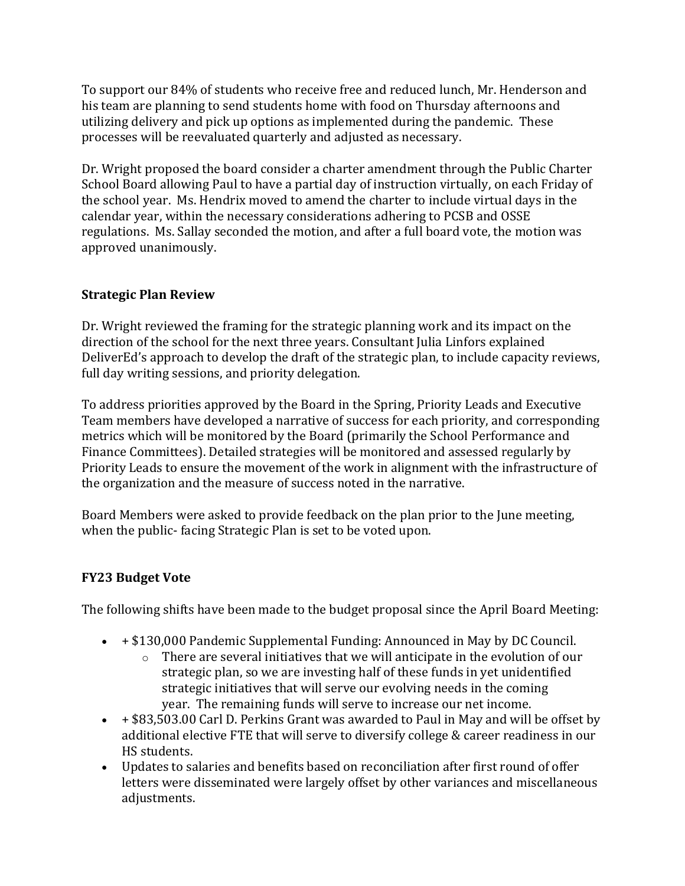To support our 84% of students who receive free and reduced lunch, Mr. Henderson and his team are planning to send students home with food on Thursday afternoons and utilizing delivery and pick up options as implemented during the pandemic. These processes will be reevaluated quarterly and adjusted as necessary.

Dr. Wright proposed the board consider a charter amendment through the Public Charter School Board allowing Paul to have a partial day of instruction virtually, on each Friday of the school year. Ms. Hendrix moved to amend the charter to include virtual days in the calendar year, within the necessary considerations adhering to PCSB and OSSE regulations. Ms. Sallay seconded the motion, and after a full board vote, the motion was approved unanimously.

# **Strategic Plan Review**

Dr. Wright reviewed the framing for the strategic planning work and its impact on the direction of the school for the next three vears. Consultant Julia Linfors explained DeliverEd's approach to develop the draft of the strategic plan, to include capacity reviews, full day writing sessions, and priority delegation.

To address priorities approved by the Board in the Spring, Priority Leads and Executive Team members have developed a narrative of success for each priority, and corresponding metrics which will be monitored by the Board (primarily the School Performance and Finance Committees). Detailed strategies will be monitored and assessed regularly by Priority Leads to ensure the movement of the work in alignment with the infrastructure of the organization and the measure of success noted in the narrative.

Board Members were asked to provide feedback on the plan prior to the June meeting, when the public- facing Strategic Plan is set to be voted upon.

# **FY23 Budget Vote**

The following shifts have been made to the budget proposal since the April Board Meeting:

- $\bullet$  + \$130,000 Pandemic Supplemental Funding: Announced in May by DC Council.
	- $\circ$  There are several initiatives that we will anticipate in the evolution of our strategic plan, so we are investing half of these funds in yet unidentified strategic initiatives that will serve our evolving needs in the coming year. The remaining funds will serve to increase our net income.
- $\bullet$  + \$83,503.00 Carl D. Perkins Grant was awarded to Paul in May and will be offset by additional elective FTE that will serve to diversify college & career readiness in our HS students.
- Updates to salaries and benefits based on reconciliation after first round of offer letters were disseminated were largely offset by other variances and miscellaneous adjustments.